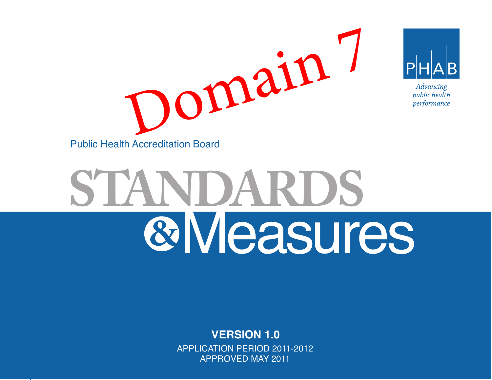

# **STANDARDS** Measures **&**

#### **VERSION 1.0** APPLICATION PERIOD 2011-2012 APPROVED MAY 2011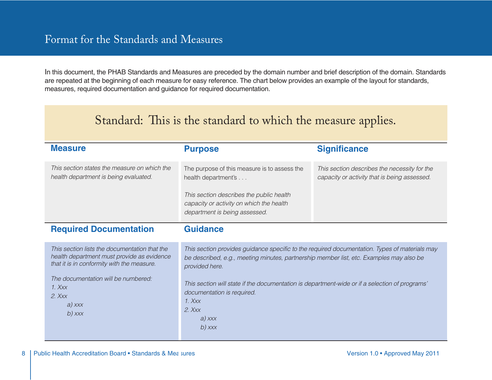## Format for the Standards and Measures

In this document, the PHAB Standards and Measures are preceded by the domain number and brief description of the domain. Standards are repeated at the beginning of each measure for easy reference. The chart below provides an example of the layout for standards, measures, required documentation and guidance for required documentation.

| Standard: This is the standard to which the measure applies.                                                                                                                                                                      |                                                                                                                                                                                                                                                                                                                                                                                            |                                                                                              |  |
|-----------------------------------------------------------------------------------------------------------------------------------------------------------------------------------------------------------------------------------|--------------------------------------------------------------------------------------------------------------------------------------------------------------------------------------------------------------------------------------------------------------------------------------------------------------------------------------------------------------------------------------------|----------------------------------------------------------------------------------------------|--|
| <b>Measure</b>                                                                                                                                                                                                                    | <b>Purpose</b>                                                                                                                                                                                                                                                                                                                                                                             | <b>Significance</b>                                                                          |  |
| This section states the measure on which the<br>health department is being evaluated.                                                                                                                                             | The purpose of this measure is to assess the<br>health department's<br>This section describes the public health<br>capacity or activity on which the health<br>department is being assessed.                                                                                                                                                                                               | This section describes the necessity for the<br>capacity or activity that is being assessed. |  |
| <b>Required Documentation</b>                                                                                                                                                                                                     | <b>Guidance</b>                                                                                                                                                                                                                                                                                                                                                                            |                                                                                              |  |
| This section lists the documentation that the<br>health department must provide as evidence<br>that it is in conformity with the measure.<br>The documentation will be numbered:<br>$1.$ Xxx<br>$2$ $Xxx$<br>$a)$ xxx<br>$b)$ xxx | This section provides guidance specific to the required documentation. Types of materials may<br>be described, e.g., meeting minutes, partnership member list, etc. Examples may also be<br>provided here.<br>This section will state if the documentation is department-wide or if a selection of programs'<br>documentation is required.<br>$1.$ Xxx<br>$2.$ Xxx<br>$a)$ xxx<br>$b)$ xxx |                                                                                              |  |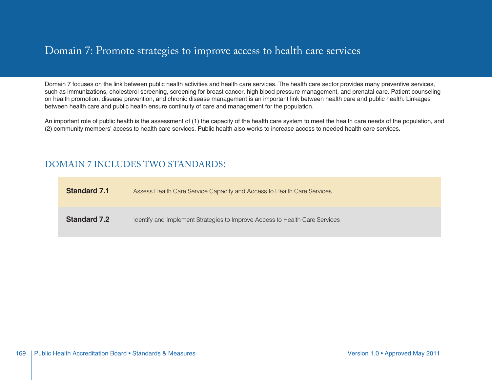#### Domain 7: Promote strategies to improve access to health care services

Domain 7 focuses on the link between public health activities and health care services. The health care sector provides many preventive services, such as immunizations, cholesterol screening, screening for breast cancer, high blood pressure management, and prenatal care. Patient counseling on health promotion, disease prevention, and chronic disease management is an important link between health care and public health. Linkages between health care and public health ensure continuity of care and management for the population.

An important role of public health is the assessment of (1) the capacity of the health care system to meet the health care needs of the population, and (2) community members' access to health care services. Public health also works to increase access to needed health care services.

#### DOMAIN 7 INCLUDES TWO STANDARDS:

| <b>Standard 7.1</b> | Assess Health Care Service Capacity and Access to Health Care Services      |
|---------------------|-----------------------------------------------------------------------------|
| <b>Standard 7.2</b> | Identify and Implement Strategies to Improve Access to Health Care Services |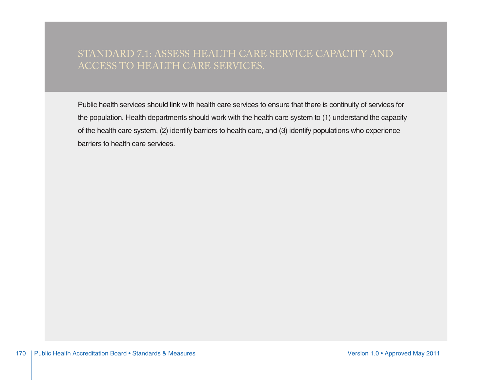## STANDARD 7.1: ASSESS HEALTH CARE SERVICE CAPACITY AND ACCESS TO HEALTH CARE SERVICES.

Public health services should link with health care services to ensure that there is continuity of services for the population. Health departments should work with the health care system to (1) understand the capacity of the health care system, (2) identify barriers to health care, and (3) identify populations who experience barriers to health care services.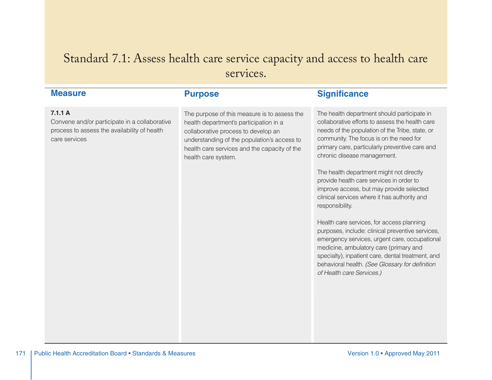## Standard 7.1: Assess health care service capacity and access to health care services.

**Purpose**

#### **Measure**

#### **7.1.1 A**

Convene and/or participate in a collaborative process to assess the availability of health care services

The purpose of this measure is to assess the health department's participation in a collaborative process to develop an understanding of the population's access to health care services and the capacity of the health care system.

The health department should participate in collaborative efforts to assess the health care needs of the population of the Tribe, state, or community. The focus is on the need for primary care, particularly preventive care and chronic disease management.

**Significance**

The health department might not directly provide health care services in order to improve access, but may provide selected clinical services where it has authority and responsibility.

Health care services, for access planning purposes, include: clinical preventive services, emergency services, urgent care, occupational medicine, ambulatory care (primary and specialty), inpatient care, dental treatment, and behavioral health. (See Glossary for definition of Health care Services.)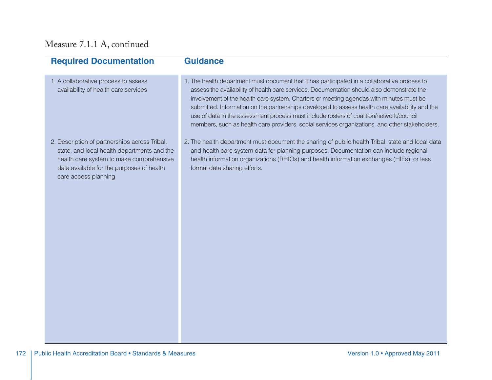## Measure 7.1.1 A, continued

| <b>Required Documentation</b>                                                                                                                                                                                 | <b>Guidance</b>                                                                                                                                                                                                                                                                                                                                                                                                                                                                                                                                                                        |
|---------------------------------------------------------------------------------------------------------------------------------------------------------------------------------------------------------------|----------------------------------------------------------------------------------------------------------------------------------------------------------------------------------------------------------------------------------------------------------------------------------------------------------------------------------------------------------------------------------------------------------------------------------------------------------------------------------------------------------------------------------------------------------------------------------------|
| 1. A collaborative process to assess<br>availability of health care services                                                                                                                                  | 1. The health department must document that it has participated in a collaborative process to<br>assess the availability of health care services. Documentation should also demonstrate the<br>involvement of the health care system. Charters or meeting agendas with minutes must be<br>submitted. Information on the partnerships developed to assess health care availability and the<br>use of data in the assessment process must include rosters of coalition/network/council<br>members, such as health care providers, social services organizations, and other stakeholders. |
| 2. Description of partnerships across Tribal,<br>state, and local health departments and the<br>health care system to make comprehensive<br>data available for the purposes of health<br>care access planning | 2. The health department must document the sharing of public health Tribal, state and local data<br>and health care system data for planning purposes. Documentation can include regional<br>health information organizations (RHIOs) and health information exchanges (HIEs), or less<br>formal data sharing efforts.                                                                                                                                                                                                                                                                 |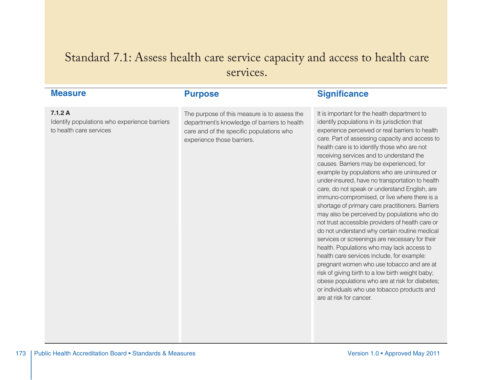# Standard 7.1: Assess health care service capacity and access to health care services.

| <b>Measure</b>                                                                    | <b>Purpose</b>                                                                                                                                                         | <b>Significance</b>                                                                                                                                                                                                                                                                                                                                                                                                                                                                                                                                                                                                                                                                                                                                                                                                                                                                                                                                                                                                                                                                                                               |
|-----------------------------------------------------------------------------------|------------------------------------------------------------------------------------------------------------------------------------------------------------------------|-----------------------------------------------------------------------------------------------------------------------------------------------------------------------------------------------------------------------------------------------------------------------------------------------------------------------------------------------------------------------------------------------------------------------------------------------------------------------------------------------------------------------------------------------------------------------------------------------------------------------------------------------------------------------------------------------------------------------------------------------------------------------------------------------------------------------------------------------------------------------------------------------------------------------------------------------------------------------------------------------------------------------------------------------------------------------------------------------------------------------------------|
| 7.1.2A<br>Identify populations who experience barriers<br>to health care services | The purpose of this measure is to assess the<br>department's knowledge of barriers to health<br>care and of the specific populations who<br>experience those barriers. | It is important for the health department to<br>identify populations in its jurisdiction that<br>experience perceived or real barriers to health<br>care. Part of assessing capacity and access to<br>health care is to identify those who are not<br>receiving services and to understand the<br>causes. Barriers may be experienced, for<br>example by populations who are uninsured or<br>under-insured, have no transportation to health<br>care, do not speak or understand English, are<br>immuno-compromised, or live where there is a<br>shortage of primary care practitioners. Barriers<br>may also be perceived by populations who do<br>not trust accessible providers of health care or<br>do not understand why certain routine medical<br>services or screenings are necessary for their<br>health. Populations who may lack access to<br>health care services include, for example:<br>pregnant women who use tobacco and are at<br>risk of giving birth to a low birth weight baby;<br>obese populations who are at risk for diabetes;<br>or individuals who use tobacco products and<br>are at risk for cancer. |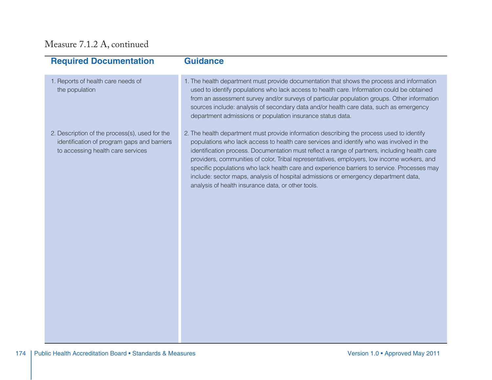## Measure 7.1.2 A, continued

| <b>Required Documentation</b>                                                                                                      | <b>Guidance</b>                                                                                                                                                                                                                                                                                                                                                                                                                                                                                                                                                                                                                   |
|------------------------------------------------------------------------------------------------------------------------------------|-----------------------------------------------------------------------------------------------------------------------------------------------------------------------------------------------------------------------------------------------------------------------------------------------------------------------------------------------------------------------------------------------------------------------------------------------------------------------------------------------------------------------------------------------------------------------------------------------------------------------------------|
| 1. Reports of health care needs of<br>the population                                                                               | 1. The health department must provide documentation that shows the process and information<br>used to identify populations who lack access to health care. Information could be obtained<br>from an assessment survey and/or surveys of particular population groups. Other information<br>sources include: analysis of secondary data and/or health care data, such as emergency<br>department admissions or population insurance status data.                                                                                                                                                                                   |
| 2. Description of the process(s), used for the<br>identification of program gaps and barriers<br>to accessing health care services | 2. The health department must provide information describing the process used to identify<br>populations who lack access to health care services and identify who was involved in the<br>identification process. Documentation must reflect a range of partners, including health care<br>providers, communities of color, Tribal representatives, employers, low income workers, and<br>specific populations who lack health care and experience barriers to service. Processes may<br>include: sector maps, analysis of hospital admissions or emergency department data,<br>analysis of health insurance data, or other tools. |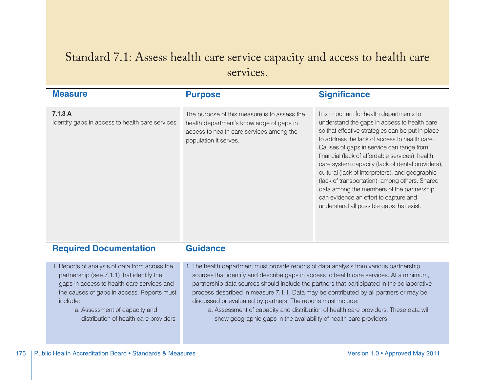# Standard 7.1: Assess health care service capacity and access to health care services.

| <b>Measure</b>                                                                                                                                                                                                                                                                | <b>Purpose</b>                                                                                                                                                                                                                                                                                                                                                                                                                                                                                                                                                                                             | <b>Significance</b>                                                                                                                                                                                                                                                                                                                                                                                                                                                                                                                                                                      |
|-------------------------------------------------------------------------------------------------------------------------------------------------------------------------------------------------------------------------------------------------------------------------------|------------------------------------------------------------------------------------------------------------------------------------------------------------------------------------------------------------------------------------------------------------------------------------------------------------------------------------------------------------------------------------------------------------------------------------------------------------------------------------------------------------------------------------------------------------------------------------------------------------|------------------------------------------------------------------------------------------------------------------------------------------------------------------------------------------------------------------------------------------------------------------------------------------------------------------------------------------------------------------------------------------------------------------------------------------------------------------------------------------------------------------------------------------------------------------------------------------|
|                                                                                                                                                                                                                                                                               |                                                                                                                                                                                                                                                                                                                                                                                                                                                                                                                                                                                                            |                                                                                                                                                                                                                                                                                                                                                                                                                                                                                                                                                                                          |
| 7.1.3A<br>Identify gaps in access to health care services                                                                                                                                                                                                                     | The purpose of this measure is to assess the<br>health department's knowledge of gaps in<br>access to health care services among the<br>population it serves.                                                                                                                                                                                                                                                                                                                                                                                                                                              | It is important for health departments to<br>understand the gaps in access to health care<br>so that effective strategies can be put in place<br>to address the lack of access to health care.<br>Causes of gaps in service can range from<br>financial (lack of affordable services), health<br>care system capacity (lack of dental providers),<br>cultural (lack of interpreters), and geographic<br>(lack of transportation), among others. Shared<br>data among the members of the partnership<br>can evidence an effort to capture and<br>understand all possible gaps that exist. |
| <b>Required Documentation</b>                                                                                                                                                                                                                                                 | <b>Guidance</b>                                                                                                                                                                                                                                                                                                                                                                                                                                                                                                                                                                                            |                                                                                                                                                                                                                                                                                                                                                                                                                                                                                                                                                                                          |
| 1. Reports of analysis of data from across the<br>partnership (see 7.1.1) that identify the<br>gaps in access to health care services and<br>the causes of gaps in access. Reports must<br>include:<br>a. Assessment of capacity and<br>distribution of health care providers | 1. The health department must provide reports of data analysis from various partnership<br>sources that identify and describe gaps in access to health care services. At a minimum,<br>partnership data sources should include the partners that participated in the collaborative<br>process described in measure 7.1.1. Data may be contributed by all partners or may be<br>discussed or evaluated by partners. The reports must include:<br>a. Assessment of capacity and distribution of health care providers. These data will<br>show geographic gaps in the availability of health care providers. |                                                                                                                                                                                                                                                                                                                                                                                                                                                                                                                                                                                          |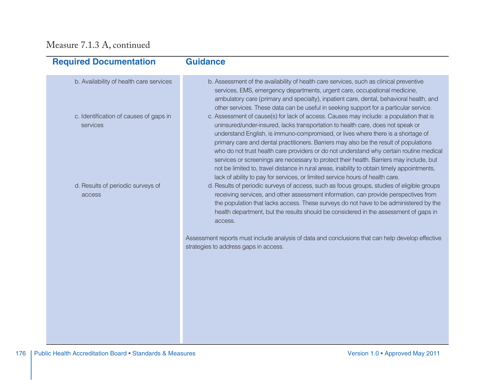## Measure 7.1.3 A, continued

| <b>Required Documentation</b>                      | <b>Guidance</b>                                                                                                                                                                                                                                                                                                                                                                                                                                                                                                                                                                                                                             |
|----------------------------------------------------|---------------------------------------------------------------------------------------------------------------------------------------------------------------------------------------------------------------------------------------------------------------------------------------------------------------------------------------------------------------------------------------------------------------------------------------------------------------------------------------------------------------------------------------------------------------------------------------------------------------------------------------------|
| b. Availability of health care services            | b. Assessment of the availability of health care services, such as clinical preventive<br>services, EMS, emergency departments, urgent care, occupational medicine,<br>ambulatory care (primary and specialty), inpatient care, dental, behavioral health, and<br>other services. These data can be useful in seeking support for a particular service.                                                                                                                                                                                                                                                                                     |
| c. Identification of causes of gaps in<br>services | c. Assessment of cause(s) for lack of access. Causes may include: a population that is<br>uninsured/under-insured, lacks transportation to health care, does not speak or<br>understand English, is immuno-compromised, or lives where there is a shortage of<br>primary care and dental practitioners. Barriers may also be the result of populations<br>who do not trust health care providers or do not understand why certain routine medical<br>services or screenings are necessary to protect their health. Barriers may include, but<br>not be limited to, travel distance in rural areas, inability to obtain timely appointments, |
| d. Results of periodic surveys of<br>access        | lack of ability to pay for services, or limited service hours of health care.<br>d. Results of periodic surveys of access, such as focus groups, studies of eligible groups<br>receiving services, and other assessment information, can provide perspectives from<br>the population that lacks access. These surveys do not have to be administered by the<br>health department, but the results should be considered in the assessment of gaps in<br>access.                                                                                                                                                                              |
|                                                    | Assessment reports must include analysis of data and conclusions that can help develop effective<br>strategies to address gaps in access.                                                                                                                                                                                                                                                                                                                                                                                                                                                                                                   |
|                                                    |                                                                                                                                                                                                                                                                                                                                                                                                                                                                                                                                                                                                                                             |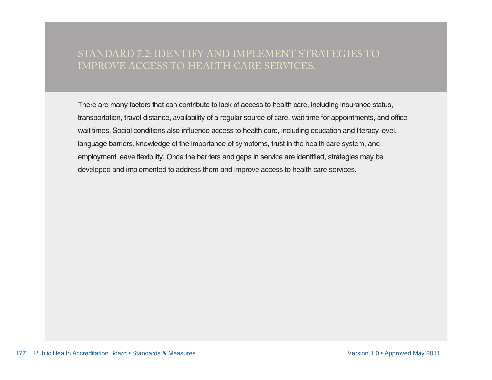## STANDARD 7.2: IDENTIFY AND IMPLEMENT STRATEGIES TO IMPROVE ACCESS TO HEALTH CARE SERVICES.

There are many factors that can contribute to lack of access to health care, including insurance status, transportation, travel distance, availability of a regular source of care, wait time for appointments, and office wait times. Social conditions also influence access to health care, including education and literacy level, language barriers, knowledge of the importance of symptoms, trust in the health care system, and employment leave flexibility. Once the barriers and gaps in service are identified, strategies may be developed and implemented to address them and improve access to health care services.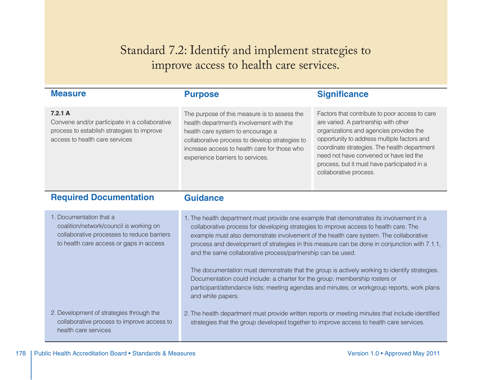Standard 7.2: Identify and implement strategies to improve access to health care services.

| <b>Measure</b>                                                                                                                                              | <b>Purpose</b>                                                                                                                                                                                                                                                                                                                                                                                                                                                                                                                                                                                                                                                                                                                                 | <b>Significance</b>                                                                                                                                                                                                                                                                                                                                 |
|-------------------------------------------------------------------------------------------------------------------------------------------------------------|------------------------------------------------------------------------------------------------------------------------------------------------------------------------------------------------------------------------------------------------------------------------------------------------------------------------------------------------------------------------------------------------------------------------------------------------------------------------------------------------------------------------------------------------------------------------------------------------------------------------------------------------------------------------------------------------------------------------------------------------|-----------------------------------------------------------------------------------------------------------------------------------------------------------------------------------------------------------------------------------------------------------------------------------------------------------------------------------------------------|
| 7.2.1A<br>Convene and/or participate in a collaborative<br>process to establish strategies to improve<br>access to health care services                     | The purpose of this measure is to assess the<br>health department's involvement with the<br>health care system to encourage a<br>collaborative process to develop strategies to<br>increase access to health care for those who<br>experience barriers to services.                                                                                                                                                                                                                                                                                                                                                                                                                                                                            | Factors that contribute to poor access to care<br>are varied. A partnership with other<br>organizations and agencies provides the<br>opportunity to address multiple factors and<br>coordinate strategies. The health department<br>need not have convened or have led the<br>process, but it must have participated in a<br>collaborative process. |
| <b>Required Documentation</b>                                                                                                                               | <b>Guidance</b>                                                                                                                                                                                                                                                                                                                                                                                                                                                                                                                                                                                                                                                                                                                                |                                                                                                                                                                                                                                                                                                                                                     |
| 1. Documentation that a<br>coalition/network/council is working on<br>collaborative processes to reduce barriers<br>to health care access or gaps in access | 1. The health department must provide one example that demonstrates its involvement in a<br>collaborative process for developing strategies to improve access to health care. The<br>example must also demonstrate involvement of the health care system. The collaborative<br>process and development of strategies in this measure can be done in conjunction with 7.1.1,<br>and the same collaborative process/partnership can be used.<br>The documentation must demonstrate that the group is actively working to identify strategies.<br>Documentation could include: a charter for the group; membership rosters or<br>participant/attendance lists; meeting agendas and minutes; or workgroup reports, work plans<br>and white papers. |                                                                                                                                                                                                                                                                                                                                                     |
| 2. Development of strategies through the<br>collaborative process to improve access to<br>health care services                                              | 2. The health department must provide written reports or meeting minutes that include identified<br>strategies that the group developed together to improve access to health care services.                                                                                                                                                                                                                                                                                                                                                                                                                                                                                                                                                    |                                                                                                                                                                                                                                                                                                                                                     |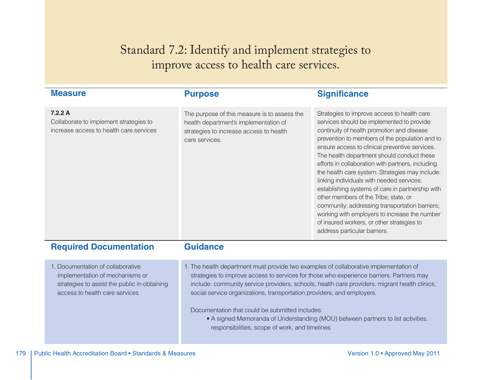# Standard 7.2: Identify and implement strategies to improve access to health care services.

| <b>Measure</b>                                                                                                                                         | <b>Purpose</b>                                                                                                                                                                                                                                                                                                                                                                                                                                                                                                                                        | <b>Significance</b>                                                                                                                                                                                                                                                                                                                                                                                                                                                                                                                                                                                                                                                                                                         |
|--------------------------------------------------------------------------------------------------------------------------------------------------------|-------------------------------------------------------------------------------------------------------------------------------------------------------------------------------------------------------------------------------------------------------------------------------------------------------------------------------------------------------------------------------------------------------------------------------------------------------------------------------------------------------------------------------------------------------|-----------------------------------------------------------------------------------------------------------------------------------------------------------------------------------------------------------------------------------------------------------------------------------------------------------------------------------------------------------------------------------------------------------------------------------------------------------------------------------------------------------------------------------------------------------------------------------------------------------------------------------------------------------------------------------------------------------------------------|
| 7.2.2 A<br>Collaborate to implement strategies to<br>increase access to health care services                                                           | The purpose of this measure is to assess the<br>health department's implementation of<br>strategies to increase access to health<br>care services.                                                                                                                                                                                                                                                                                                                                                                                                    | Strategies to improve access to health care<br>services should be implemented to provide<br>continuity of health promotion and disease<br>prevention to members of the population and to<br>ensure access to clinical preventive services.<br>The health department should conduct these<br>efforts in collaboration with partners, including<br>the health care system. Strategies may include:<br>linking individuals with needed services;<br>establishing systems of care in partnership with<br>other members of the Tribe, state, or<br>community; addressing transportation barriers;<br>working with employers to increase the number<br>of insured workers, or other strategies to<br>address particular barriers. |
| <b>Required Documentation</b>                                                                                                                          | <b>Guidance</b>                                                                                                                                                                                                                                                                                                                                                                                                                                                                                                                                       |                                                                                                                                                                                                                                                                                                                                                                                                                                                                                                                                                                                                                                                                                                                             |
| 1. Documentation of collaborative<br>implementation of mechanisms or<br>strategies to assist the public in obtaining<br>access to health care services | 1. The health department must provide two examples of collaborative implementation of<br>strategies to improve access to services for those who experience barriers. Partners may<br>include: community service providers, schools, health care providers, migrant health clinics,<br>social service organizations, transportation providers, and employers.<br>Documentation that could be submitted includes:<br>• A signed Memoranda of Understanding (MOU) between partners to list activities,<br>responsibilities, scope of work, and timelines |                                                                                                                                                                                                                                                                                                                                                                                                                                                                                                                                                                                                                                                                                                                             |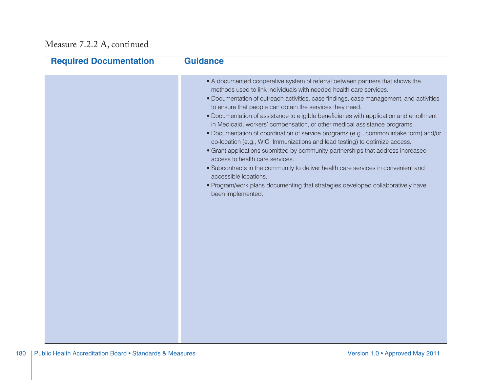## Measure 7.2.2 A, continued

| <b>Required Documentation</b> | <b>Guidance</b>                                                                                                                                                                                                                                                                                                                                                                                                                                                                                                                                                                                                                                                                                                                                                                                                                                                                                                                                                                                       |
|-------------------------------|-------------------------------------------------------------------------------------------------------------------------------------------------------------------------------------------------------------------------------------------------------------------------------------------------------------------------------------------------------------------------------------------------------------------------------------------------------------------------------------------------------------------------------------------------------------------------------------------------------------------------------------------------------------------------------------------------------------------------------------------------------------------------------------------------------------------------------------------------------------------------------------------------------------------------------------------------------------------------------------------------------|
|                               | • A documented cooperative system of referral between partners that shows the<br>methods used to link individuals with needed health care services.<br>• Documentation of outreach activities, case findings, case management, and activities<br>to ensure that people can obtain the services they need.<br>• Documentation of assistance to eligible beneficiaries with application and enrollment<br>in Medicaid, workers' compensation, or other medical assistance programs.<br>· Documentation of coordination of service programs (e.g., common intake form) and/or<br>co-location (e.g., WIC, Immunizations and lead testing) to optimize access.<br>• Grant applications submitted by community partnerships that address increased<br>access to health care services.<br>• Subcontracts in the community to deliver health care services in convenient and<br>accessible locations.<br>. Program/work plans documenting that strategies developed collaboratively have<br>been implemented. |
|                               |                                                                                                                                                                                                                                                                                                                                                                                                                                                                                                                                                                                                                                                                                                                                                                                                                                                                                                                                                                                                       |